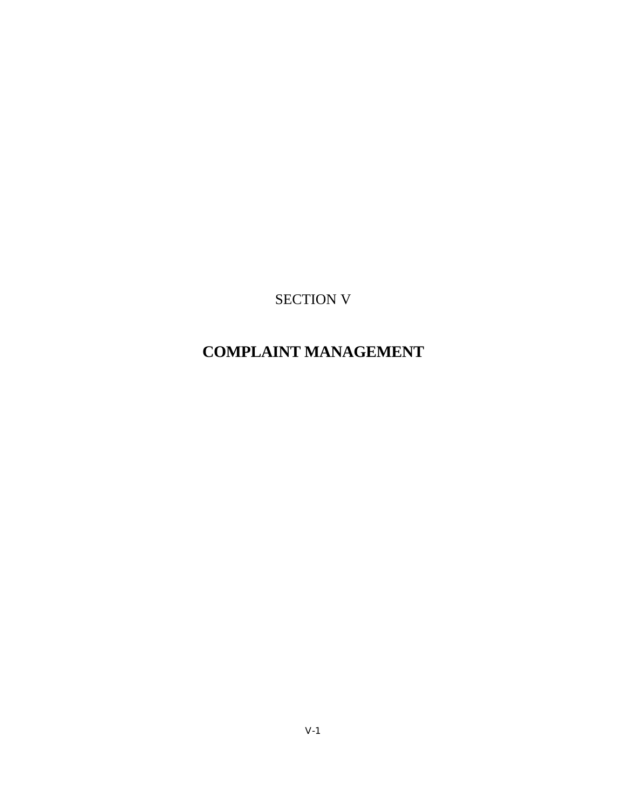SECTION V

# **COMPLAINT MANAGEMENT**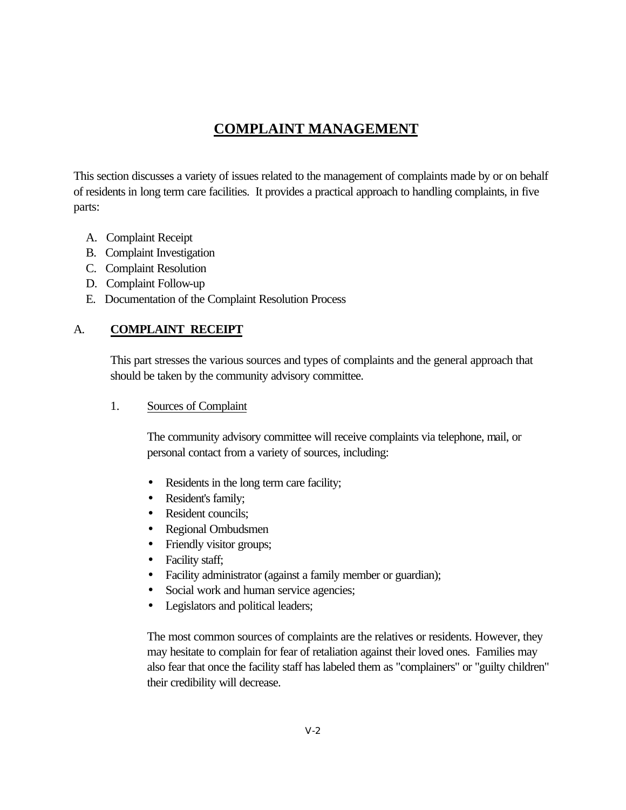## **COMPLAINT MANAGEMENT**

This section discusses a variety of issues related to the management of complaints made by or on behalf of residents in long term care facilities. It provides a practical approach to handling complaints, in five parts:

- A. Complaint Receipt
- B. Complaint Investigation
- C. Complaint Resolution
- D. Complaint Follow-up
- E. Documentation of the Complaint Resolution Process

## A. **COMPLAINT RECEIPT**

This part stresses the various sources and types of complaints and the general approach that should be taken by the community advisory committee.

1. Sources of Complaint

The community advisory committee will receive complaints via telephone, mail, or personal contact from a variety of sources, including:

- Residents in the long term care facility;
- Resident's family;
- Resident councils:
- Regional Ombudsmen
- Friendly visitor groups;
- Facility staff;
- Facility administrator (against a family member or guardian);
- Social work and human service agencies;
- Legislators and political leaders;

The most common sources of complaints are the relatives or residents. However, they may hesitate to complain for fear of retaliation against their loved ones. Families may also fear that once the facility staff has labeled them as "complainers" or "guilty children" their credibility will decrease.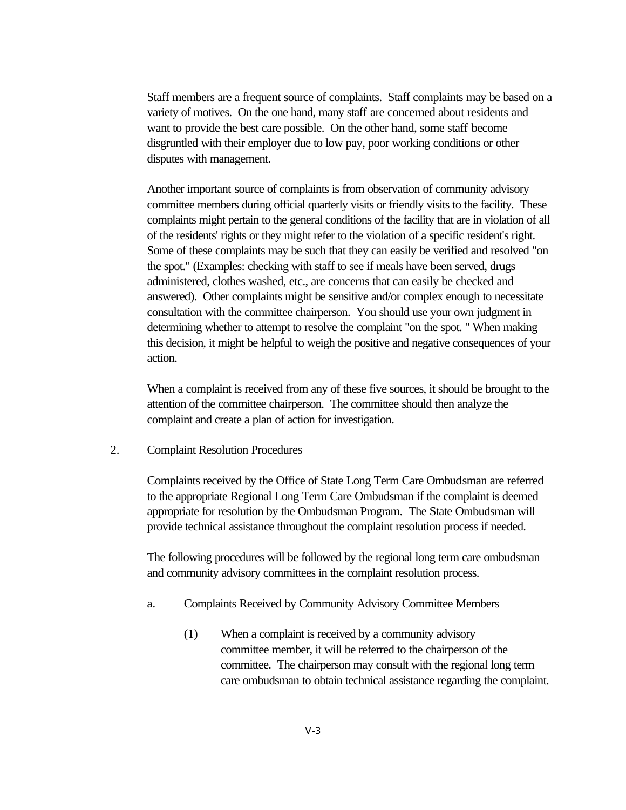Staff members are a frequent source of complaints. Staff complaints may be based on a variety of motives. On the one hand, many staff are concerned about residents and want to provide the best care possible. On the other hand, some staff become disgruntled with their employer due to low pay, poor working conditions or other disputes with management.

Another important source of complaints is from observation of community advisory committee members during official quarterly visits or friendly visits to the facility. These complaints might pertain to the general conditions of the facility that are in violation of all of the residents' rights or they might refer to the violation of a specific resident's right. Some of these complaints may be such that they can easily be verified and resolved "on the spot." (Examples: checking with staff to see if meals have been served, drugs administered, clothes washed, etc., are concerns that can easily be checked and answered). Other complaints might be sensitive and/or complex enough to necessitate consultation with the committee chairperson. You should use your own judgment in determining whether to attempt to resolve the complaint "on the spot. " When making this decision, it might be helpful to weigh the positive and negative consequences of your action.

When a complaint is received from any of these five sources, it should be brought to the attention of the committee chairperson. The committee should then analyze the complaint and create a plan of action for investigation.

#### 2. Complaint Resolution Procedures

Complaints received by the Office of State Long Term Care Ombudsman are referred to the appropriate Regional Long Term Care Ombudsman if the complaint is deemed appropriate for resolution by the Ombudsman Program. The State Ombudsman will provide technical assistance throughout the complaint resolution process if needed.

The following procedures will be followed by the regional long term care ombudsman and community advisory committees in the complaint resolution process.

- a. Complaints Received by Community Advisory Committee Members
	- (1) When a complaint is received by a community advisory committee member, it will be referred to the chairperson of the committee. The chairperson may consult with the regional long term care ombudsman to obtain technical assistance regarding the complaint.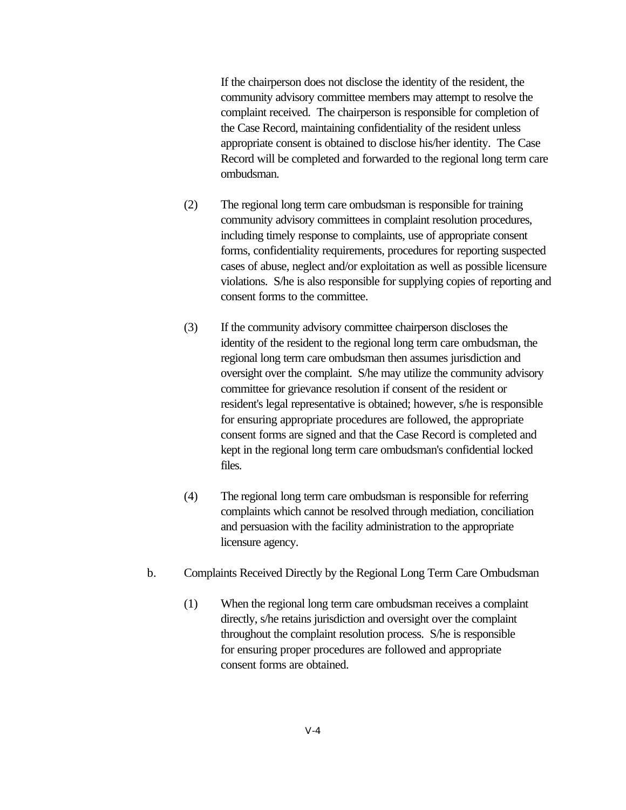If the chairperson does not disclose the identity of the resident, the community advisory committee members may attempt to resolve the complaint received. The chairperson is responsible for completion of the Case Record, maintaining confidentiality of the resident unless appropriate consent is obtained to disclose his/her identity. The Case Record will be completed and forwarded to the regional long term care ombudsman.

- (2) The regional long term care ombudsman is responsible for training community advisory committees in complaint resolution procedures, including timely response to complaints, use of appropriate consent forms, confidentiality requirements, procedures for reporting suspected cases of abuse, neglect and/or exploitation as well as possible licensure violations. S/he is also responsible for supplying copies of reporting and consent forms to the committee.
- (3) If the community advisory committee chairperson discloses the identity of the resident to the regional long term care ombudsman, the regional long term care ombudsman then assumes jurisdiction and oversight over the complaint. S/he may utilize the community advisory committee for grievance resolution if consent of the resident or resident's legal representative is obtained; however, s/he is responsible for ensuring appropriate procedures are followed, the appropriate consent forms are signed and that the Case Record is completed and kept in the regional long term care ombudsman's confidential locked files.
- (4) The regional long term care ombudsman is responsible for referring complaints which cannot be resolved through mediation, conciliation and persuasion with the facility administration to the appropriate licensure agency.
- b. Complaints Received Directly by the Regional Long Term Care Ombudsman
	- (1) When the regional long term care ombudsman receives a complaint directly, s/he retains jurisdiction and oversight over the complaint throughout the complaint resolution process. S/he is responsible for ensuring proper procedures are followed and appropriate consent forms are obtained.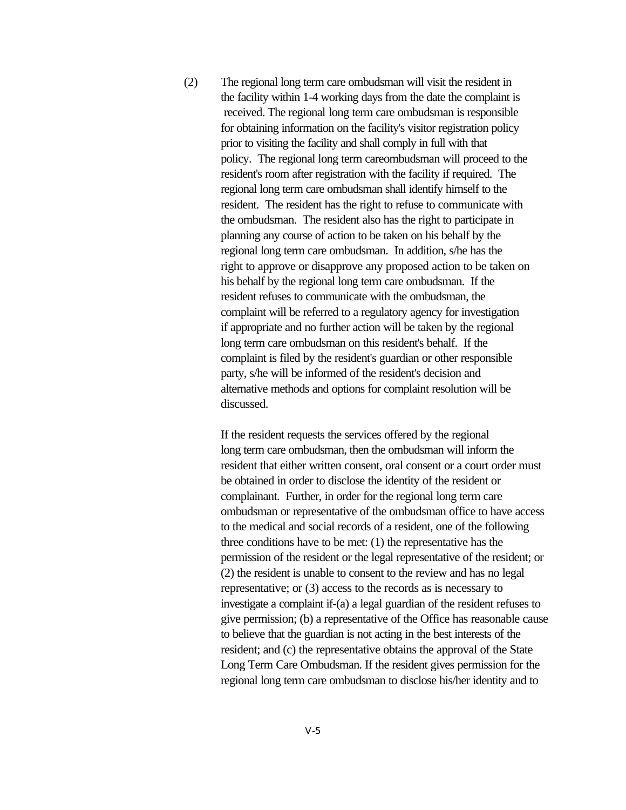(2) The regional long term care ombudsman will visit the resident in the facility within 1-4 working days from the date the complaint is received. The regional long term care ombudsman is responsible for obtaining information on the facility's visitor registration policy prior to visiting the facility and shall comply in full with that policy. The regional long term careombudsman will proceed to the resident's room after registration with the facility if required. The regional long term care ombudsman shall identify himself to the resident. The resident has the right to refuse to communicate with the ombudsman. The resident also has the right to participate in planning any course of action to be taken on his behalf by the regional long term care ombudsman. In addition, s/he has the right to approve or disapprove any proposed action to be taken on his behalf by the regional long term care ombudsman. If the resident refuses to communicate with the ombudsman, the complaint will be referred to a regulatory agency for investigation if appropriate and no further action will be taken by the regional long term care ombudsman on this resident's behalf. If the complaint is filed by the resident's guardian or other responsible party, s/he will be informed of the resident's decision and alternative methods and options for complaint resolution will be discussed.

> If the resident requests the services offered by the regional long term care ombudsman, then the ombudsman will inform the resident that either written consent, oral consent or a court order must be obtained in order to disclose the identity of the resident or complainant. Further, in order for the regional long term care ombudsman or representative of the ombudsman office to have access to the medical and social records of a resident, one of the following three conditions have to be met: (1) the representative has the permission of the resident or the legal representative of the resident; or (2) the resident is unable to consent to the review and has no legal representative; or (3) access to the records as is necessary to investigate a complaint if-(a) a legal guardian of the resident refuses to give permission; (b) a representative of the Office has reasonable cause to believe that the guardian is not acting in the best interests of the resident; and (c) the representative obtains the approval of the State Long Term Care Ombudsman. If the resident gives permission for the regional long term care ombudsman to disclose his/her identity and to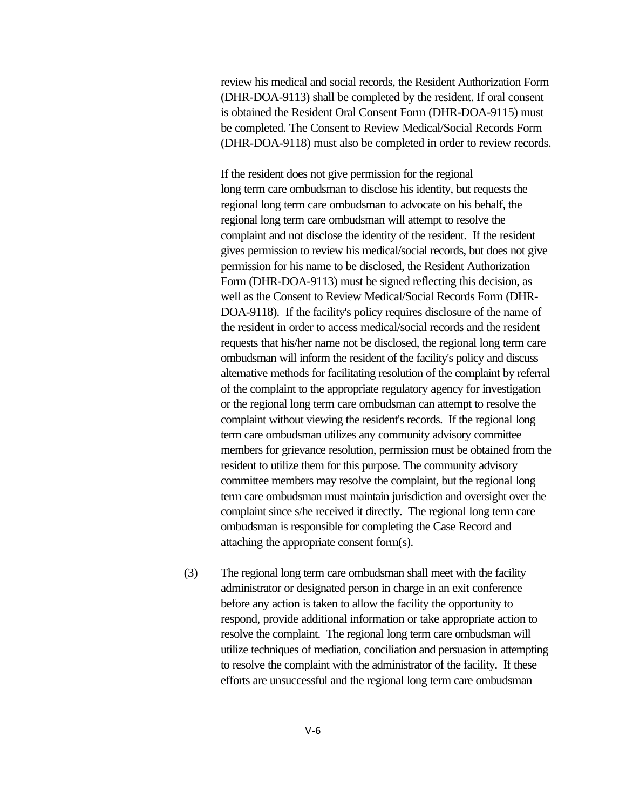review his medical and social records, the Resident Authorization Form (DHR-DOA-9113) shall be completed by the resident. If oral consent is obtained the Resident Oral Consent Form (DHR-DOA-9115) must be completed. The Consent to Review Medical/Social Records Form (DHR-DOA-9118) must also be completed in order to review records.

If the resident does not give permission for the regional long term care ombudsman to disclose his identity, but requests the regional long term care ombudsman to advocate on his behalf, the regional long term care ombudsman will attempt to resolve the complaint and not disclose the identity of the resident. If the resident gives permission to review his medical/social records, but does not give permission for his name to be disclosed, the Resident Authorization Form (DHR-DOA-9113) must be signed reflecting this decision, as well as the Consent to Review Medical/Social Records Form (DHR-DOA-9118). If the facility's policy requires disclosure of the name of the resident in order to access medical/social records and the resident requests that his/her name not be disclosed, the regional long term care ombudsman will inform the resident of the facility's policy and discuss alternative methods for facilitating resolution of the complaint by referral of the complaint to the appropriate regulatory agency for investigation or the regional long term care ombudsman can attempt to resolve the complaint without viewing the resident's records. If the regional long term care ombudsman utilizes any community advisory committee members for grievance resolution, permission must be obtained from the resident to utilize them for this purpose. The community advisory committee members may resolve the complaint, but the regional long term care ombudsman must maintain jurisdiction and oversight over the complaint since s/he received it directly. The regional long term care ombudsman is responsible for completing the Case Record and attaching the appropriate consent form(s).

(3) The regional long term care ombudsman shall meet with the facility administrator or designated person in charge in an exit conference before any action is taken to allow the facility the opportunity to respond, provide additional information or take appropriate action to resolve the complaint. The regional long term care ombudsman will utilize techniques of mediation, conciliation and persuasion in attempting to resolve the complaint with the administrator of the facility. If these efforts are unsuccessful and the regional long term care ombudsman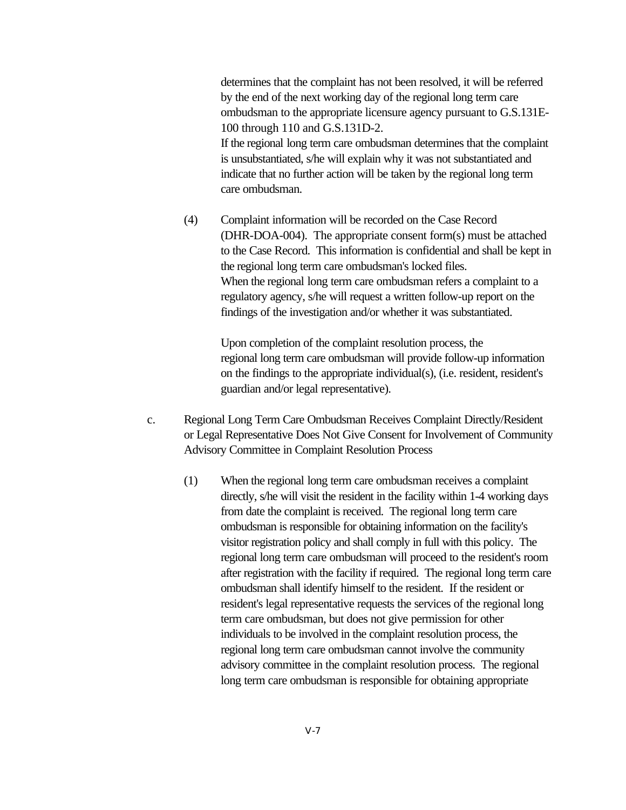determines that the complaint has not been resolved, it will be referred by the end of the next working day of the regional long term care ombudsman to the appropriate licensure agency pursuant to G.S.131E-100 through 110 and G.S.131D-2. If the regional long term care ombudsman determines that the complaint is unsubstantiated, s/he will explain why it was not substantiated and indicate that no further action will be taken by the regional long term care ombudsman.

(4) Complaint information will be recorded on the Case Record (DHR-DOA-004). The appropriate consent form(s) must be attached to the Case Record. This information is confidential and shall be kept in the regional long term care ombudsman's locked files. When the regional long term care ombudsman refers a complaint to a regulatory agency, s/he will request a written follow-up report on the findings of the investigation and/or whether it was substantiated.

> Upon completion of the complaint resolution process, the regional long term care ombudsman will provide follow-up information on the findings to the appropriate individual(s), (i.e. resident, resident's guardian and/or legal representative).

- c. Regional Long Term Care Ombudsman Receives Complaint Directly/Resident or Legal Representative Does Not Give Consent for Involvement of Community Advisory Committee in Complaint Resolution Process
	- (1) When the regional long term care ombudsman receives a complaint directly, s/he will visit the resident in the facility within 1-4 working days from date the complaint is received. The regional long term care ombudsman is responsible for obtaining information on the facility's visitor registration policy and shall comply in full with this policy. The regional long term care ombudsman will proceed to the resident's room after registration with the facility if required. The regional long term care ombudsman shall identify himself to the resident. If the resident or resident's legal representative requests the services of the regional long term care ombudsman, but does not give permission for other individuals to be involved in the complaint resolution process, the regional long term care ombudsman cannot involve the community advisory committee in the complaint resolution process. The regional long term care ombudsman is responsible for obtaining appropriate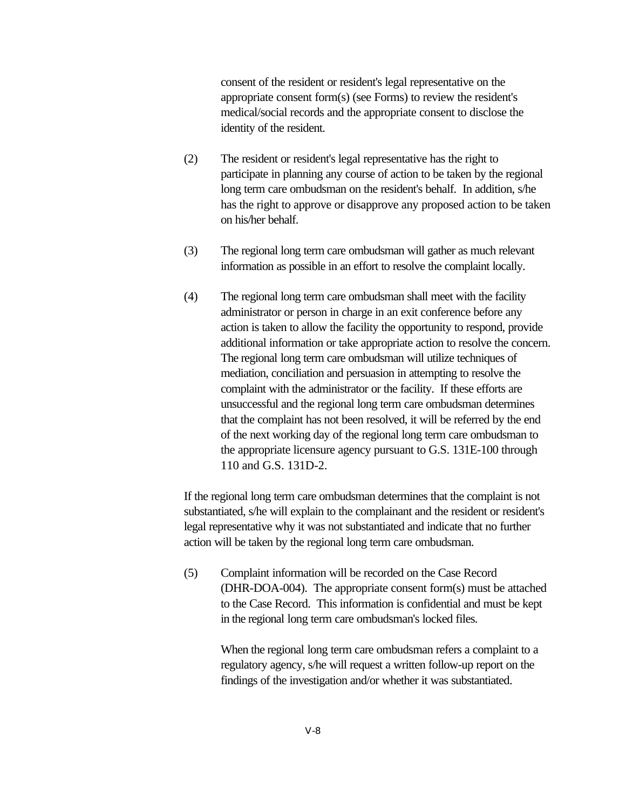consent of the resident or resident's legal representative on the appropriate consent form(s) (see Forms) to review the resident's medical/social records and the appropriate consent to disclose the identity of the resident.

- (2) The resident or resident's legal representative has the right to participate in planning any course of action to be taken by the regional long term care ombudsman on the resident's behalf. In addition, s/he has the right to approve or disapprove any proposed action to be taken on his/her behalf.
- (3) The regional long term care ombudsman will gather as much relevant information as possible in an effort to resolve the complaint locally.
- (4) The regional long term care ombudsman shall meet with the facility administrator or person in charge in an exit conference before any action is taken to allow the facility the opportunity to respond, provide additional information or take appropriate action to resolve the concern. The regional long term care ombudsman will utilize techniques of mediation, conciliation and persuasion in attempting to resolve the complaint with the administrator or the facility. If these efforts are unsuccessful and the regional long term care ombudsman determines that the complaint has not been resolved, it will be referred by the end of the next working day of the regional long term care ombudsman to the appropriate licensure agency pursuant to G.S. 131E-100 through 110 and G.S. 131D-2.

If the regional long term care ombudsman determines that the complaint is not substantiated, s/he will explain to the complainant and the resident or resident's legal representative why it was not substantiated and indicate that no further action will be taken by the regional long term care ombudsman.

(5) Complaint information will be recorded on the Case Record (DHR-DOA-004). The appropriate consent form(s) must be attached to the Case Record. This information is confidential and must be kept in the regional long term care ombudsman's locked files.

> When the regional long term care ombudsman refers a complaint to a regulatory agency, s/he will request a written follow-up report on the findings of the investigation and/or whether it was substantiated.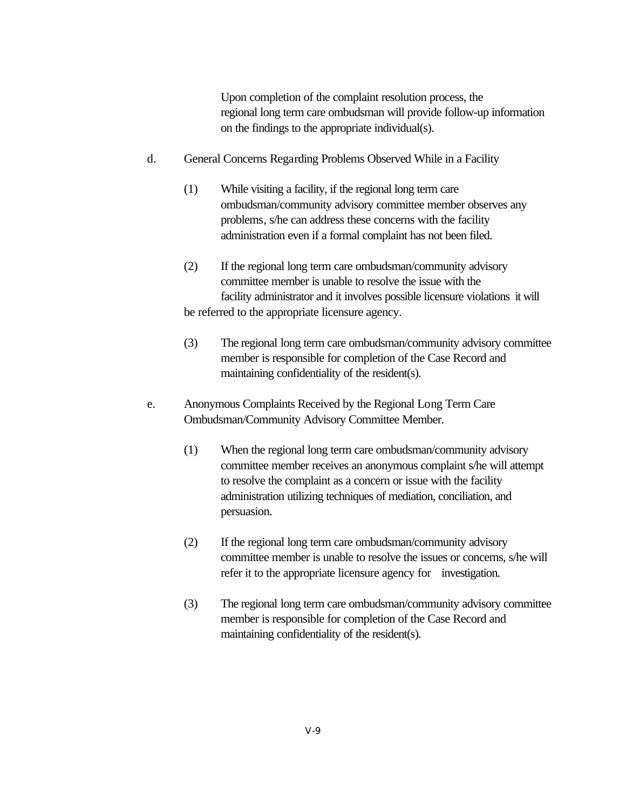Upon completion of the complaint resolution process, the regional long term care ombudsman will provide follow-up information on the findings to the appropriate individual(s).

- d. General Concerns Regarding Problems Observed While in a Facility
	- (1) While visiting a facility, if the regional long term care ombudsman/community advisory committee member observes any problems, s/he can address these concerns with the facility administration even if a formal complaint has not been filed.
	- (2) If the regional long term care ombudsman/community advisory committee member is unable to resolve the issue with the facility administrator and it involves possible licensure violations it will be referred to the appropriate licensure agency.
	- (3) The regional long term care ombudsman/community advisory committee member is responsible for completion of the Case Record and maintaining confidentiality of the resident(s).
- e. Anonymous Complaints Received by the Regional Long Term Care Ombudsman/Community Advisory Committee Member.
	- (1) When the regional long term care ombudsman/community advisory committee member receives an anonymous complaint s/he will attempt to resolve the complaint as a concern or issue with the facility administration utilizing techniques of mediation, conciliation, and persuasion.
	- (2) If the regional long term care ombudsman/community advisory committee member is unable to resolve the issues or concerns, s/he will refer it to the appropriate licensure agency for investigation.
	- (3) The regional long term care ombudsman/community advisory committee member is responsible for completion of the Case Record and maintaining confidentiality of the resident(s).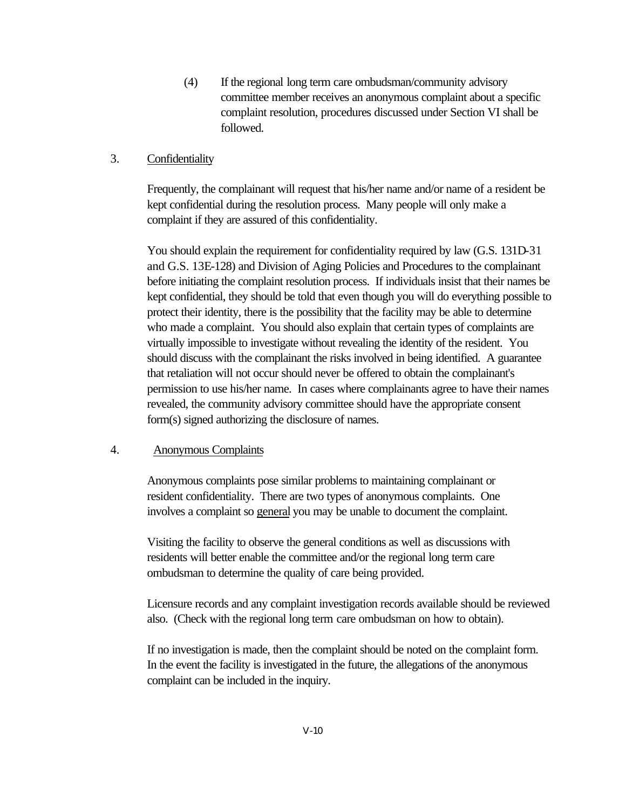(4) If the regional long term care ombudsman/community advisory committee member receives an anonymous complaint about a specific complaint resolution, procedures discussed under Section VI shall be followed.

#### 3. Confidentiality

Frequently, the complainant will request that his/her name and/or name of a resident be kept confidential during the resolution process. Many people will only make a complaint if they are assured of this confidentiality.

You should explain the requirement for confidentiality required by law (G.S. 131D-31 and G.S. 13E-128) and Division of Aging Policies and Procedures to the complainant before initiating the complaint resolution process. If individuals insist that their names be kept confidential, they should be told that even though you will do everything possible to protect their identity, there is the possibility that the facility may be able to determine who made a complaint. You should also explain that certain types of complaints are virtually impossible to investigate without revealing the identity of the resident. You should discuss with the complainant the risks involved in being identified. A guarantee that retaliation will not occur should never be offered to obtain the complainant's permission to use his/her name. In cases where complainants agree to have their names revealed, the community advisory committee should have the appropriate consent form(s) signed authorizing the disclosure of names.

#### 4. Anonymous Complaints

Anonymous complaints pose similar problems to maintaining complainant or resident confidentiality. There are two types of anonymous complaints. One involves a complaint so general you may be unable to document the complaint.

Visiting the facility to observe the general conditions as well as discussions with residents will better enable the committee and/or the regional long term care ombudsman to determine the quality of care being provided.

Licensure records and any complaint investigation records available should be reviewed also. (Check with the regional long term care ombudsman on how to obtain).

If no investigation is made, then the complaint should be noted on the complaint form. In the event the facility is investigated in the future, the allegations of the anonymous complaint can be included in the inquiry.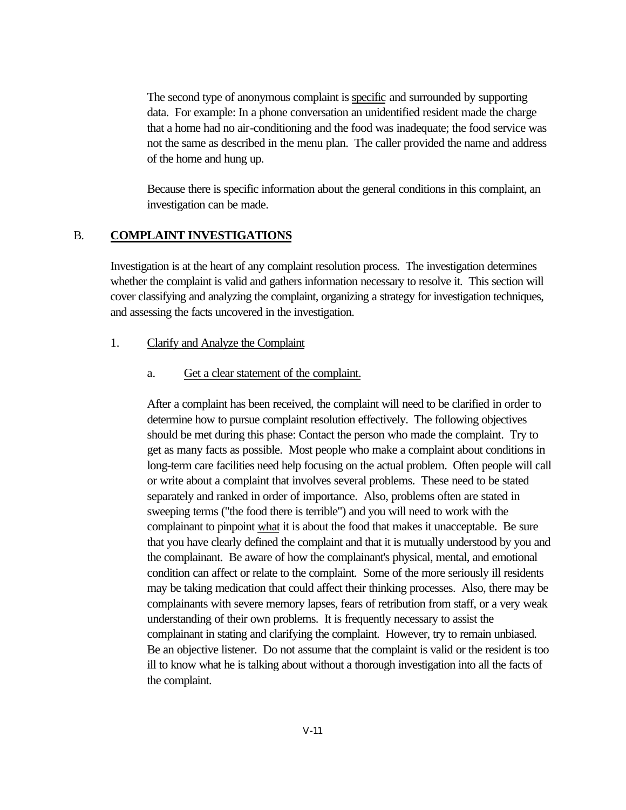The second type of anonymous complaint is specific and surrounded by supporting data. For example: In a phone conversation an unidentified resident made the charge that a home had no air-conditioning and the food was inadequate; the food service was not the same as described in the menu plan. The caller provided the name and address of the home and hung up.

Because there is specific information about the general conditions in this complaint, an investigation can be made.

#### B. **COMPLAINT INVESTIGATIONS**

Investigation is at the heart of any complaint resolution process. The investigation determines whether the complaint is valid and gathers information necessary to resolve it. This section will cover classifying and analyzing the complaint, organizing a strategy for investigation techniques, and assessing the facts uncovered in the investigation.

#### 1. Clarify and Analyze the Complaint

#### a. Get a clear statement of the complaint.

After a complaint has been received, the complaint will need to be clarified in order to determine how to pursue complaint resolution effectively. The following objectives should be met during this phase: Contact the person who made the complaint. Try to get as many facts as possible. Most people who make a complaint about conditions in long-term care facilities need help focusing on the actual problem. Often people will call or write about a complaint that involves several problems. These need to be stated separately and ranked in order of importance. Also, problems often are stated in sweeping terms ("the food there is terrible") and you will need to work with the complainant to pinpoint what it is about the food that makes it unacceptable. Be sure that you have clearly defined the complaint and that it is mutually understood by you and the complainant. Be aware of how the complainant's physical, mental, and emotional condition can affect or relate to the complaint. Some of the more seriously ill residents may be taking medication that could affect their thinking processes. Also, there may be complainants with severe memory lapses, fears of retribution from staff, or a very weak understanding of their own problems. It is frequently necessary to assist the complainant in stating and clarifying the complaint. However, try to remain unbiased. Be an objective listener. Do not assume that the complaint is valid or the resident is too ill to know what he is talking about without a thorough investigation into all the facts of the complaint.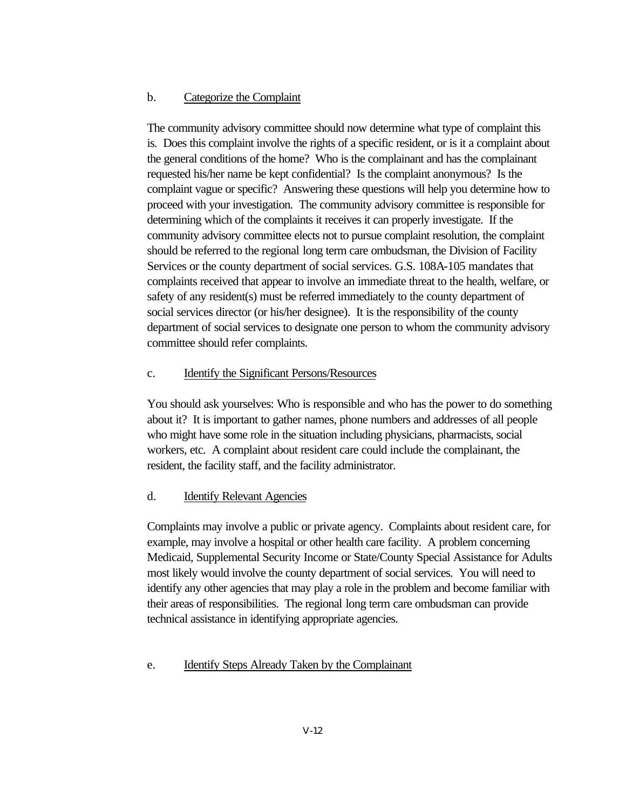#### b. Categorize the Complaint

The community advisory committee should now determine what type of complaint this is. Does this complaint involve the rights of a specific resident, or is it a complaint about the general conditions of the home? Who is the complainant and has the complainant requested his/her name be kept confidential? Is the complaint anonymous? Is the complaint vague or specific? Answering these questions will help you determine how to proceed with your investigation. The community advisory committee is responsible for determining which of the complaints it receives it can properly investigate. If the community advisory committee elects not to pursue complaint resolution, the complaint should be referred to the regional long term care ombudsman, the Division of Facility Services or the county department of social services. G.S. 108A-105 mandates that complaints received that appear to involve an immediate threat to the health, welfare, or safety of any resident(s) must be referred immediately to the county department of social services director (or his/her designee). It is the responsibility of the county department of social services to designate one person to whom the community advisory committee should refer complaints.

#### c. Identify the Significant Persons/Resources

You should ask yourselves: Who is responsible and who has the power to do something about it? It is important to gather names, phone numbers and addresses of all people who might have some role in the situation including physicians, pharmacists, social workers, etc. A complaint about resident care could include the complainant, the resident, the facility staff, and the facility administrator.

#### d. Identify Relevant Agencies

Complaints may involve a public or private agency. Complaints about resident care, for example, may involve a hospital or other health care facility. A problem concerning Medicaid, Supplemental Security Income or State/County Special Assistance for Adults most likely would involve the county department of social services. You will need to identify any other agencies that may play a role in the problem and become familiar with their areas of responsibilities. The regional long term care ombudsman can provide technical assistance in identifying appropriate agencies.

#### e. Identify Steps Already Taken by the Complainant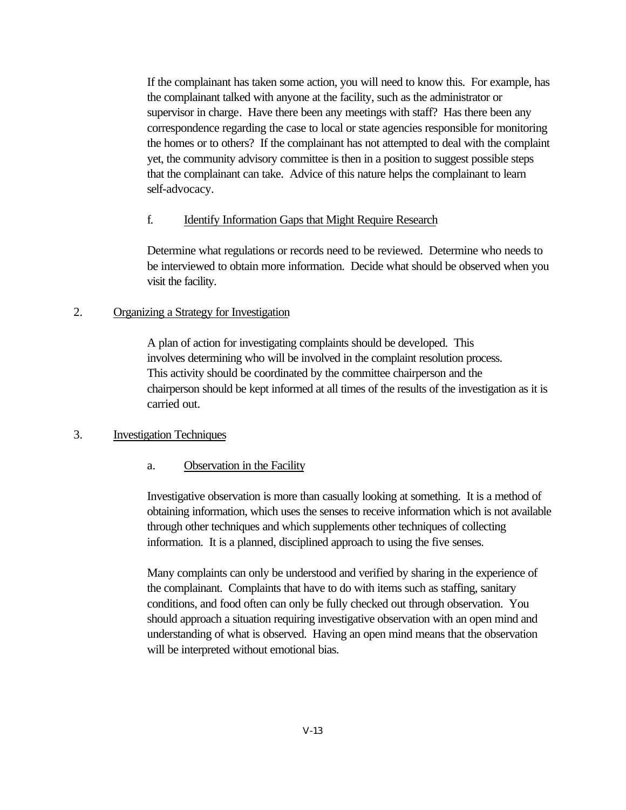If the complainant has taken some action, you will need to know this. For example, has the complainant talked with anyone at the facility, such as the administrator or supervisor in charge. Have there been any meetings with staff? Has there been any correspondence regarding the case to local or state agencies responsible for monitoring the homes or to others? If the complainant has not attempted to deal with the complaint yet, the community advisory committee is then in a position to suggest possible steps that the complainant can take. Advice of this nature helps the complainant to learn self-advocacy.

#### f. Identify Information Gaps that Might Require Research

Determine what regulations or records need to be reviewed. Determine who needs to be interviewed to obtain more information. Decide what should be observed when you visit the facility.

#### 2. Organizing a Strategy for Investigation

A plan of action for investigating complaints should be developed. This involves determining who will be involved in the complaint resolution process. This activity should be coordinated by the committee chairperson and the chairperson should be kept informed at all times of the results of the investigation as it is carried out.

#### 3. Investigation Techniques

#### a. Observation in the Facility

Investigative observation is more than casually looking at something. It is a method of obtaining information, which uses the senses to receive information which is not available through other techniques and which supplements other techniques of collecting information. It is a planned, disciplined approach to using the five senses.

Many complaints can only be understood and verified by sharing in the experience of the complainant. Complaints that have to do with items such as staffing, sanitary conditions, and food often can only be fully checked out through observation. You should approach a situation requiring investigative observation with an open mind and understanding of what is observed. Having an open mind means that the observation will be interpreted without emotional bias.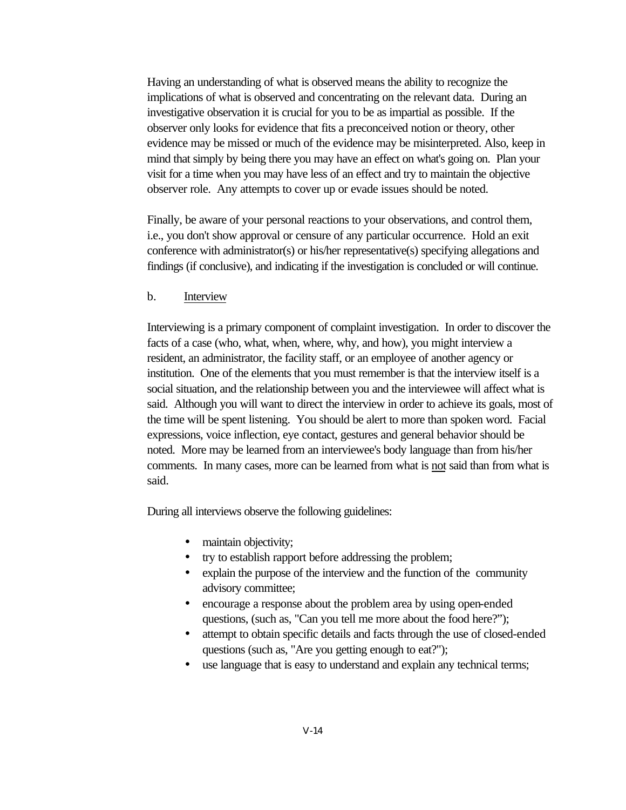Having an understanding of what is observed means the ability to recognize the implications of what is observed and concentrating on the relevant data. During an investigative observation it is crucial for you to be as impartial as possible. If the observer only looks for evidence that fits a preconceived notion or theory, other evidence may be missed or much of the evidence may be misinterpreted. Also, keep in mind that simply by being there you may have an effect on what's going on. Plan your visit for a time when you may have less of an effect and try to maintain the objective observer role. Any attempts to cover up or evade issues should be noted.

Finally, be aware of your personal reactions to your observations, and control them, i.e., you don't show approval or censure of any particular occurrence. Hold an exit conference with administrator(s) or his/her representative(s) specifying allegations and findings (if conclusive), and indicating if the investigation is concluded or will continue.

#### b. Interview

Interviewing is a primary component of complaint investigation. In order to discover the facts of a case (who, what, when, where, why, and how), you might interview a resident, an administrator, the facility staff, or an employee of another agency or institution. One of the elements that you must remember is that the interview itself is a social situation, and the relationship between you and the interviewee will affect what is said. Although you will want to direct the interview in order to achieve its goals, most of the time will be spent listening. You should be alert to more than spoken word. Facial expressions, voice inflection, eye contact, gestures and general behavior should be noted. More may be learned from an interviewee's body language than from his/her comments. In many cases, more can be learned from what is not said than from what is said.

During all interviews observe the following guidelines:

- maintain objectivity;
- try to establish rapport before addressing the problem;
- explain the purpose of the interview and the function of the community advisory committee;
- encourage a response about the problem area by using open-ended questions, (such as, "Can you tell me more about the food here?");
- attempt to obtain specific details and facts through the use of closed-ended questions (such as, "Are you getting enough to eat?");
- use language that is easy to understand and explain any technical terms;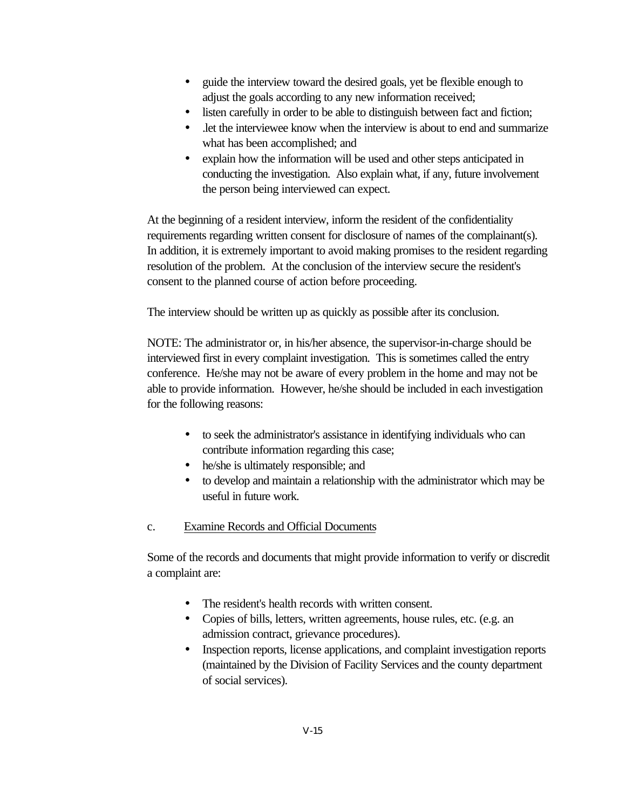- guide the interview toward the desired goals, yet be flexible enough to adjust the goals according to any new information received;
- listen carefully in order to be able to distinguish between fact and fiction;
- .let the interviewee know when the interview is about to end and summarize what has been accomplished; and
- explain how the information will be used and other steps anticipated in conducting the investigation. Also explain what, if any, future involvement the person being interviewed can expect.

At the beginning of a resident interview, inform the resident of the confidentiality requirements regarding written consent for disclosure of names of the complainant(s). In addition, it is extremely important to avoid making promises to the resident regarding resolution of the problem. At the conclusion of the interview secure the resident's consent to the planned course of action before proceeding.

The interview should be written up as quickly as possible after its conclusion.

NOTE: The administrator or, in his/her absence, the supervisor-in-charge should be interviewed first in every complaint investigation. This is sometimes called the entry conference. He/she may not be aware of every problem in the home and may not be able to provide information. However, he/she should be included in each investigation for the following reasons:

- to seek the administrator's assistance in identifying individuals who can contribute information regarding this case;
- he/she is ultimately responsible; and
- to develop and maintain a relationship with the administrator which may be useful in future work.

## c. Examine Records and Official Documents

Some of the records and documents that might provide information to verify or discredit a complaint are:

- The resident's health records with written consent.
- Copies of bills, letters, written agreements, house rules, etc. (e.g. an admission contract, grievance procedures).
- Inspection reports, license applications, and complaint investigation reports (maintained by the Division of Facility Services and the county department of social services).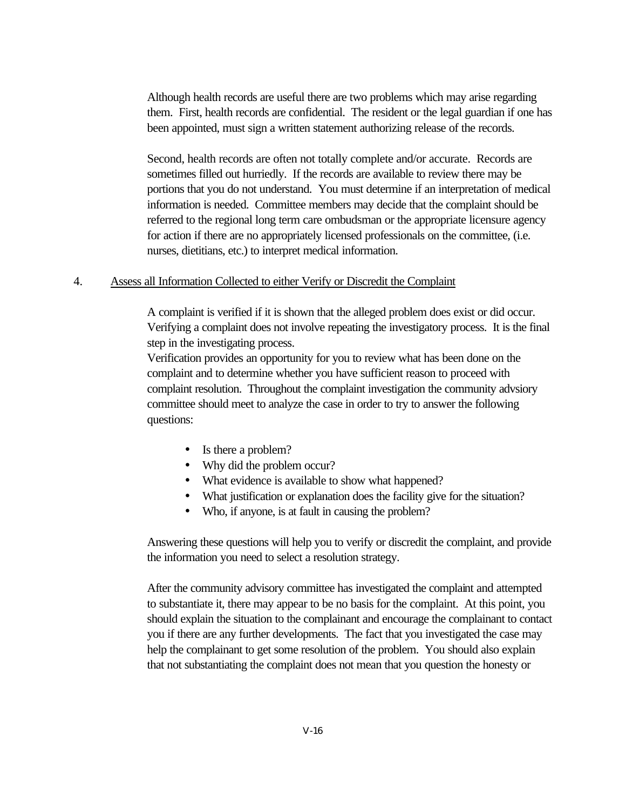Although health records are useful there are two problems which may arise regarding them. First, health records are confidential. The resident or the legal guardian if one has been appointed, must sign a written statement authorizing release of the records.

Second, health records are often not totally complete and/or accurate. Records are sometimes filled out hurriedly. If the records are available to review there may be portions that you do not understand. You must determine if an interpretation of medical information is needed. Committee members may decide that the complaint should be referred to the regional long term care ombudsman or the appropriate licensure agency for action if there are no appropriately licensed professionals on the committee, (i.e. nurses, dietitians, etc.) to interpret medical information.

#### 4. Assess all Information Collected to either Verify or Discredit the Complaint

A complaint is verified if it is shown that the alleged problem does exist or did occur. Verifying a complaint does not involve repeating the investigatory process. It is the final step in the investigating process.

Verification provides an opportunity for you to review what has been done on the complaint and to determine whether you have sufficient reason to proceed with complaint resolution. Throughout the complaint investigation the community advsiory committee should meet to analyze the case in order to try to answer the following questions:

- Is there a problem?
- Why did the problem occur?
- What evidence is available to show what happened?
- What justification or explanation does the facility give for the situation?
- Who, if anyone, is at fault in causing the problem?

Answering these questions will help you to verify or discredit the complaint, and provide the information you need to select a resolution strategy.

After the community advisory committee has investigated the complaint and attempted to substantiate it, there may appear to be no basis for the complaint. At this point, you should explain the situation to the complainant and encourage the complainant to contact you if there are any further developments. The fact that you investigated the case may help the complainant to get some resolution of the problem. You should also explain that not substantiating the complaint does not mean that you question the honesty or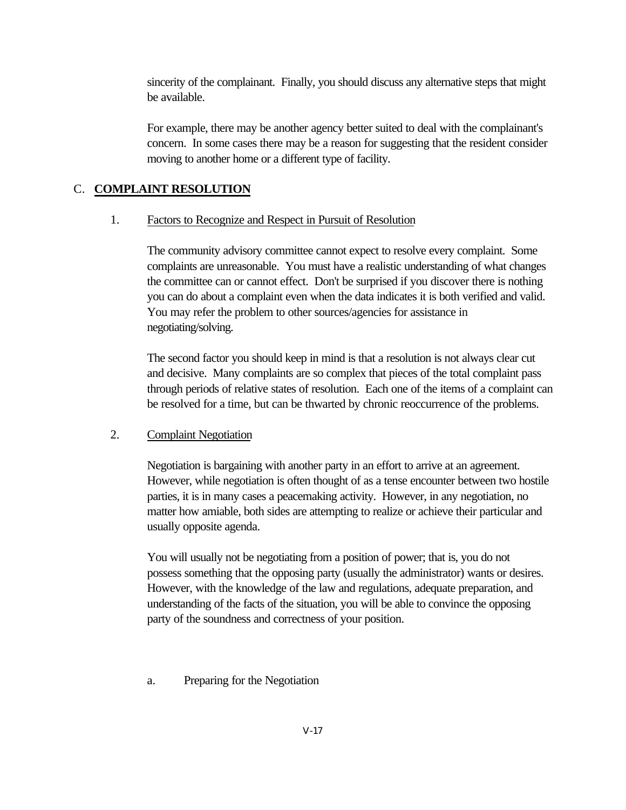sincerity of the complainant. Finally, you should discuss any alternative steps that might be available.

For example, there may be another agency better suited to deal with the complainant's concern. In some cases there may be a reason for suggesting that the resident consider moving to another home or a different type of facility.

## C. **COMPLAINT RESOLUTION**

## 1. Factors to Recognize and Respect in Pursuit of Resolution

The community advisory committee cannot expect to resolve every complaint. Some complaints are unreasonable. You must have a realistic understanding of what changes the committee can or cannot effect. Don't be surprised if you discover there is nothing you can do about a complaint even when the data indicates it is both verified and valid. You may refer the problem to other sources/agencies for assistance in negotiating/solving.

The second factor you should keep in mind is that a resolution is not always clear cut and decisive. Many complaints are so complex that pieces of the total complaint pass through periods of relative states of resolution. Each one of the items of a complaint can be resolved for a time, but can be thwarted by chronic reoccurrence of the problems.

## 2. Complaint Negotiation

Negotiation is bargaining with another party in an effort to arrive at an agreement. However, while negotiation is often thought of as a tense encounter between two hostile parties, it is in many cases a peacemaking activity. However, in any negotiation, no matter how amiable, both sides are attempting to realize or achieve their particular and usually opposite agenda.

You will usually not be negotiating from a position of power; that is, you do not possess something that the opposing party (usually the administrator) wants or desires. However, with the knowledge of the law and regulations, adequate preparation, and understanding of the facts of the situation, you will be able to convince the opposing party of the soundness and correctness of your position.

a. Preparing for the Negotiation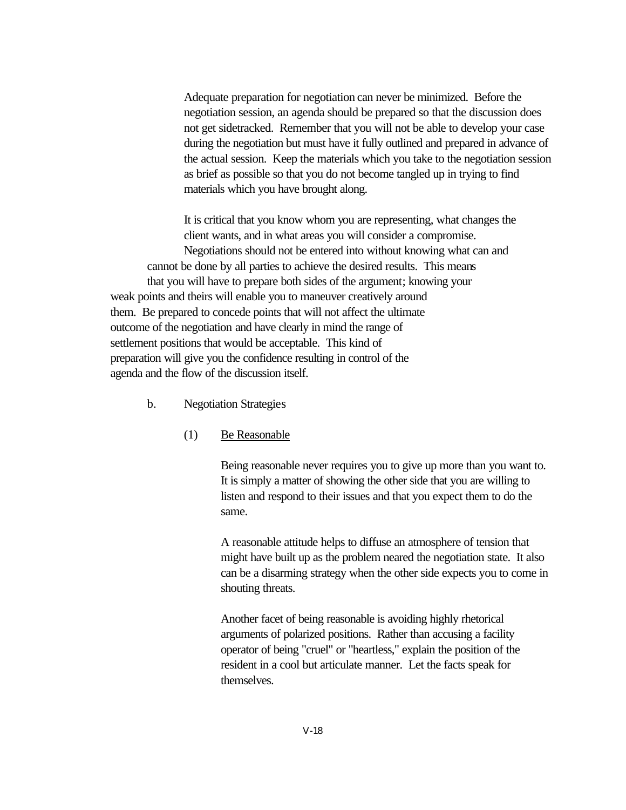Adequate preparation for negotiation can never be minimized. Before the negotiation session, an agenda should be prepared so that the discussion does not get sidetracked. Remember that you will not be able to develop your case during the negotiation but must have it fully outlined and prepared in advance of the actual session. Keep the materials which you take to the negotiation session as brief as possible so that you do not become tangled up in trying to find materials which you have brought along.

It is critical that you know whom you are representing, what changes the client wants, and in what areas you will consider a compromise. Negotiations should not be entered into without knowing what can and cannot be done by all parties to achieve the desired results. This means that you will have to prepare both sides of the argument; knowing your weak points and theirs will enable you to maneuver creatively around them. Be prepared to concede points that will not affect the ultimate outcome of the negotiation and have clearly in mind the range of settlement positions that would be acceptable. This kind of preparation will give you the confidence resulting in control of the agenda and the flow of the discussion itself.

- b. Negotiation Strategies
	- (1) Be Reasonable

Being reasonable never requires you to give up more than you want to. It is simply a matter of showing the other side that you are willing to listen and respond to their issues and that you expect them to do the same.

A reasonable attitude helps to diffuse an atmosphere of tension that might have built up as the problem neared the negotiation state. It also can be a disarming strategy when the other side expects you to come in shouting threats.

Another facet of being reasonable is avoiding highly rhetorical arguments of polarized positions. Rather than accusing a facility operator of being "cruel" or "heartless," explain the position of the resident in a cool but articulate manner. Let the facts speak for themselves.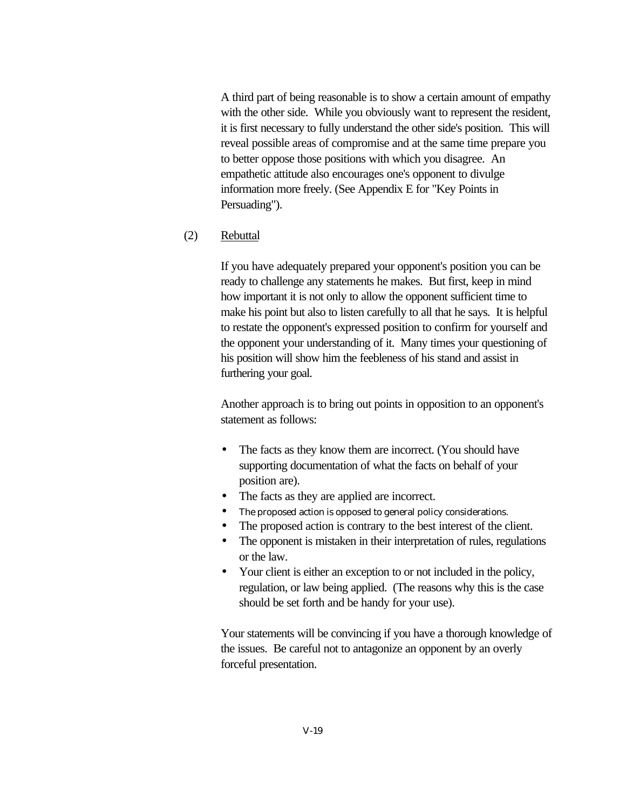A third part of being reasonable is to show a certain amount of empathy with the other side. While you obviously want to represent the resident, it is first necessary to fully understand the other side's position. This will reveal possible areas of compromise and at the same time prepare you to better oppose those positions with which you disagree. An empathetic attitude also encourages one's opponent to divulge information more freely. (See Appendix E for "Key Points in Persuading").

#### (2) Rebuttal

If you have adequately prepared your opponent's position you can be ready to challenge any statements he makes. But first, keep in mind how important it is not only to allow the opponent sufficient time to make his point but also to listen carefully to all that he says. It is helpful to restate the opponent's expressed position to confirm for yourself and the opponent your understanding of it. Many times your questioning of his position will show him the feebleness of his stand and assist in furthering your goal.

Another approach is to bring out points in opposition to an opponent's statement as follows:

- The facts as they know them are incorrect. (You should have supporting documentation of what the facts on behalf of your position are).
- The facts as they are applied are incorrect.
- The proposed action is opposed to general policy considerations.
- The proposed action is contrary to the best interest of the client.
- The opponent is mistaken in their interpretation of rules, regulations or the law.
- Your client is either an exception to or not included in the policy, regulation, or law being applied. (The reasons why this is the case should be set forth and be handy for your use).

Your statements will be convincing if you have a thorough knowledge of the issues. Be careful not to antagonize an opponent by an overly forceful presentation.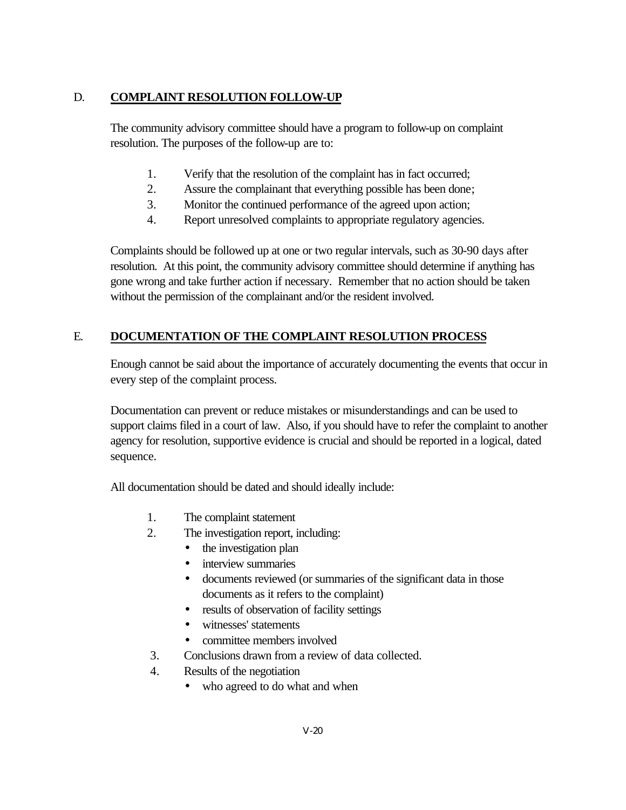## D. **COMPLAINT RESOLUTION FOLLOW-UP**

The community advisory committee should have a program to follow-up on complaint resolution. The purposes of the follow-up are to:

- 1. Verify that the resolution of the complaint has in fact occurred;
- 2. Assure the complainant that everything possible has been done;
- 3. Monitor the continued performance of the agreed upon action;
- 4. Report unresolved complaints to appropriate regulatory agencies.

Complaints should be followed up at one or two regular intervals, such as 30-90 days after resolution. At this point, the community advisory committee should determine if anything has gone wrong and take further action if necessary. Remember that no action should be taken without the permission of the complainant and/or the resident involved.

## E. **DOCUMENTATION OF THE COMPLAINT RESOLUTION PROCESS**

Enough cannot be said about the importance of accurately documenting the events that occur in every step of the complaint process.

Documentation can prevent or reduce mistakes or misunderstandings and can be used to support claims filed in a court of law. Also, if you should have to refer the complaint to another agency for resolution, supportive evidence is crucial and should be reported in a logical, dated sequence.

All documentation should be dated and should ideally include:

- 1. The complaint statement
- 2. The investigation report, including:
	- the investigation plan
	- interview summaries
	- documents reviewed (or summaries of the significant data in those documents as it refers to the complaint)
	- results of observation of facility settings
	- witnesses' statements
	- committee members involved
- 3. Conclusions drawn from a review of data collected.
- 4. Results of the negotiation
	- who agreed to do what and when